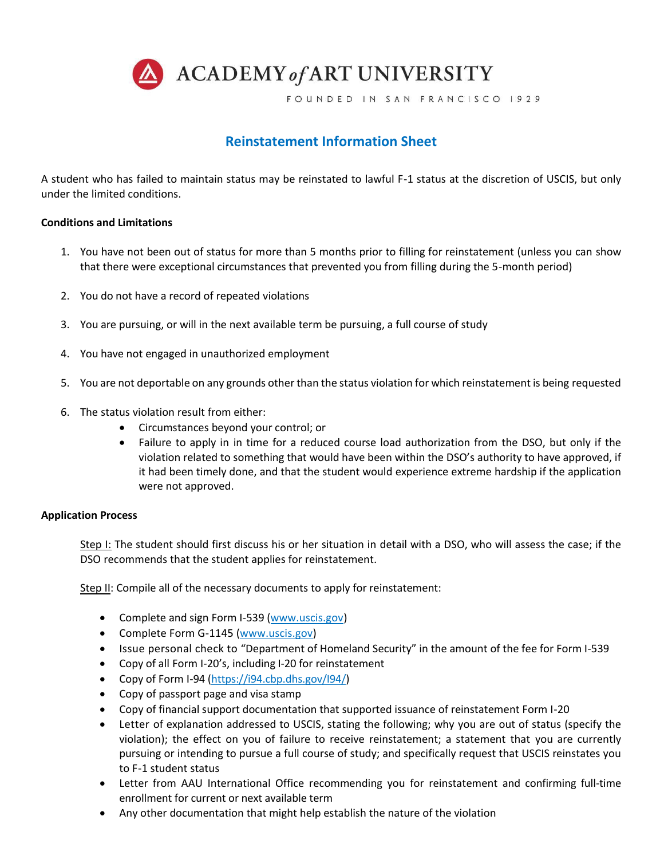

FOUNDED IN SAN FRANCISCO 1929

# **Reinstatement Information Sheet**

A student who has failed to maintain status may be reinstated to lawful F-1 status at the discretion of USCIS, but only under the limited conditions.

# **Conditions and Limitations**

- 1. You have not been out of status for more than 5 months prior to filling for reinstatement (unless you can show that there were exceptional circumstances that prevented you from filling during the 5-month period)
- 2. You do not have a record of repeated violations
- 3. You are pursuing, or will in the next available term be pursuing, a full course of study
- 4. You have not engaged in unauthorized employment
- 5. You are not deportable on any grounds other than the status violation for which reinstatement is being requested
- 6. The status violation result from either:
	- Circumstances beyond your control; or
	- Failure to apply in in time for a reduced course load authorization from the DSO, but only if the violation related to something that would have been within the DSO's authority to have approved, if it had been timely done, and that the student would experience extreme hardship if the application were not approved.

# **Application Process**

Step I: The student should first discuss his or her situation in detail with a DSO, who will assess the case; if the DSO recommends that the student applies for reinstatement.

Step II: Compile all of the necessary documents to apply for reinstatement:

- Complete and sign Form I-539 [\(www.uscis.gov\)](http://www.uscis.gov/)
- Complete Form G-1145 [\(www.uscis.gov\)](http://www.uscis.gov/)
- Issue personal check to "Department of Homeland Security" in the amount of the fee for Form I-539
- Copy of all Form I-20's, including I-20 for reinstatement
- Copy of Form I-94 [\(https://i94.cbp.dhs.gov/I94/\)](https://i94.cbp.dhs.gov/I94/)
- Copy of passport page and visa stamp
- Copy of financial support documentation that supported issuance of reinstatement Form I-20
- Letter of explanation addressed to USCIS, stating the following; why you are out of status (specify the violation); the effect on you of failure to receive reinstatement; a statement that you are currently pursuing or intending to pursue a full course of study; and specifically request that USCIS reinstates you to F-1 student status
- Letter from AAU International Office recommending you for reinstatement and confirming full-time enrollment for current or next available term
- Any other documentation that might help establish the nature of the violation